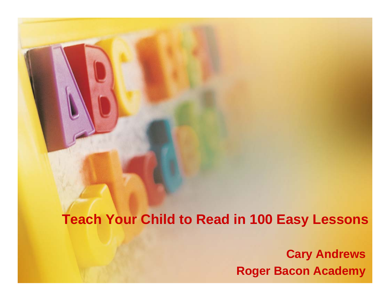# **Teach Your Child to Read in 100 Easy Lessons**

**Cary Andrews Roger Bacon Academy**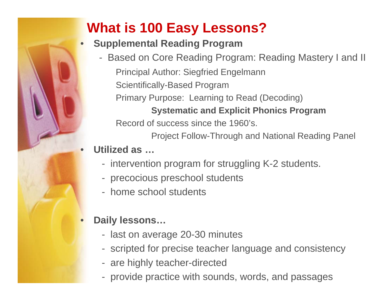# **What is 100 Easy Lessons?**

#### •**Supplemental Reading Program**

- Based on Core Reading Program: Reading Mastery I and II Principal Author: Siegfried Engelmann Scientifically-Based Program Primary Purpose: Learning to Read (Decoding) **Systematic and Explicit Phonics Program** Record of success since the 1960's.

Project Follow-Through and National Reading Panel

# **Utilized as …**

•

- intervention program for struggling K-2 students.
- precocious preschool students
- home school students

#### $\bullet$ **Daily lessons…**

- last on average 20-30 minutes
- scripted for precise teacher language and consistency
- are highly teacher-directed
- provide practice with sounds, words, and passages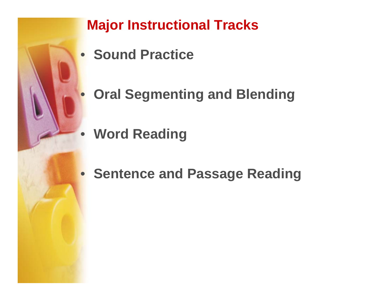

# **Major Instructional Tracks**

- **Sound Practice**
- **Oral Segmenting and Blending**
	- **Word Reading**
- **Sentence and Passage Reading**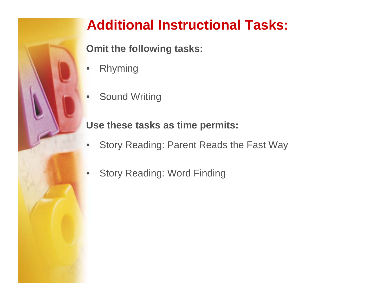

# **Additional Instructional Tasks:**

**Omit the following tasks:**

- •Rhyming
- •• Sound Writing

# **Use these tasks as time permits:**

- $\bullet$ Story Reading: Parent Reads the Fast Way
- •Story Reading: Word Finding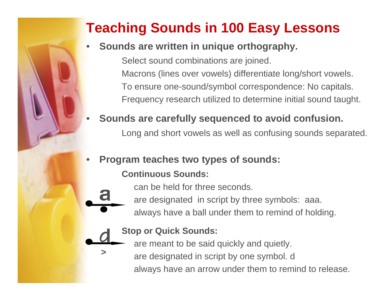# **Teaching Sounds in 100 Easy Lessons**

#### •**Sounds are written in unique orthography.**

Select sound combinations are joined. Macrons (lines over vowels) differentiate long/short vowels. To ensure one-sound/symbol correspondence: No capitals. Frequency research utilized to determine initial sound taught.

#### •**Sounds are carefully sequenced to avoid confusion.**

Long and short vowels as well as confusing sounds separated.

#### •**Program teaches two types of sounds:**

## **Continuous Sounds:**

can be held for three seconds.

are designated in script by three symbols: aaa.

always have a ball under them to remind of holding.



**>**

a

## **Stop or Quick Sounds:**

- are meant to be said quickly and quietly.
- are designated in script by one symbol. d
	- always have an arrow under them to remind to release.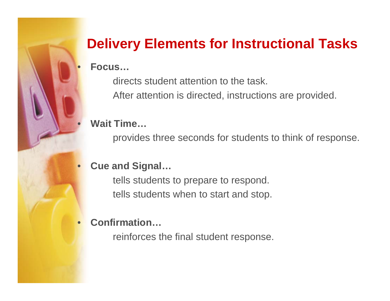# **Delivery Elements for Instructional Tasks**

#### **Focus…**

 $\bullet$ 

 $\bullet$ 

directs student attention to the task.

After attention is directed, instructions are provided.

# **Wait Time…**

provides three seconds for students to think of response.

#### $\bullet$ **Cue and Signal…**

tells students to prepare to respond. tells students when to start and stop.

#### •**Confirmation…**

reinforces the final student response.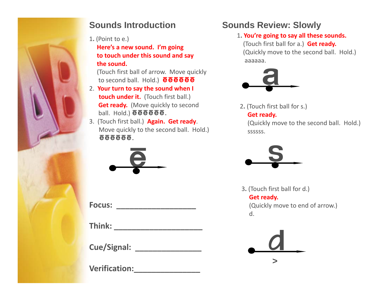

#### **Sounds Introduction**

1**.** (Point to e.)

**Here's a new sound. I'm going to touch under this sound and say the sound.**

(Touch first ball of arrow. Move quickly to second ball. Hold.) **@@@@@** 

- 2. **Your turn to say the sound when I touch under it.** (Touch first ball.) **Get ready.** (Move quickly to second ball. Hold.) ēēēēē.
- 3. (Touch first ball.) **Again. Get ready**. Move quickly to the second ball. Hold.) EEEEEE.



**Focus: \_\_\_\_\_\_\_\_\_\_\_\_\_\_\_\_\_\_**

**Think: \_\_\_\_\_\_\_\_\_\_\_\_\_\_\_\_\_\_\_\_**

**C /Si l Cue/Signal: \_\_\_\_\_\_\_\_\_\_\_\_\_\_\_**

**Verification:\_\_\_\_\_\_\_\_\_\_\_\_\_\_\_**

#### **Sounds Review: Slowly**

1**. You're going to say all these sounds.** (Touch first ball for a.) **Get ready.** (Quickly move to the second ball. Hold.) aaaaaa.



2**.** (Touch first ball for s.) **Get ready.**

(Quickly move to the second ball. Hold.) ssssssssssss.



3**.** (Touch first ball for d.) **Get ready.**

 (Quickly move to end of arrow.) d.

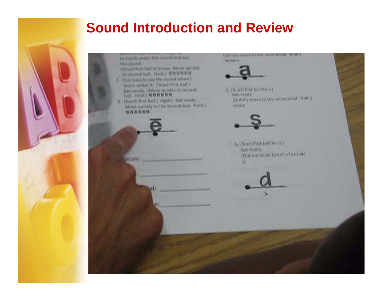# **Sound Introduction and Review**

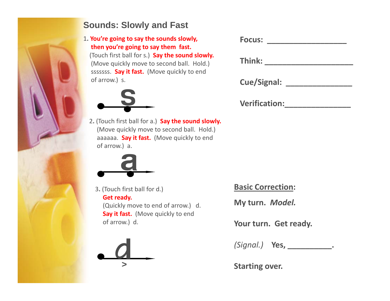

#### **Sounds: Slowly and Fast**

1**. You're going to say the sounds slowly, then you're going to say them fast.** (Touch first ball for <sup>s</sup> ) **Say the sound slowly** s.)**slowly.** (Move quickly move to second ball. Hold.) sssssss. **Say it fast.** (Move quickly to end of arrow.) s.



2**.** (Touch first ball for a.) **Say the sound slowly.** (Move quickly move to second ball. Hold.) aaaaaa. **Say it fast.** (Move quickly to end of arrow.) a.



3**.** (Touch first ball for d.) **Get ready.** (Quickly move to end of arrow.) d. **Say it fast.** (Move quickly to end of arrow.) d. **Your**



| <b>Focus:</b>      |  |
|--------------------|--|
| Think:             |  |
|                    |  |
| <b>Cue/Signal:</b> |  |

**Verification:\_\_\_\_\_\_\_\_\_\_\_\_\_\_\_**

**Basic Correction:**

**My turn.** *Model.*

**turn. Get ready.**

*(Signal )* **Yes** *(Signal.)***Yes, \_\_\_\_\_\_\_\_\_\_.**

**Starting over.**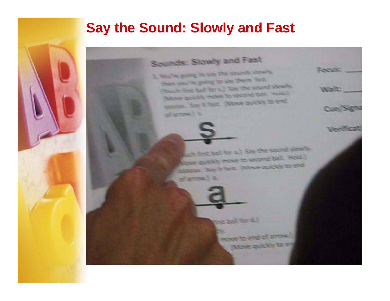# **Say the Sound: Slowly and Fast**



and first ball for all Say the sound slowly Apple quickly move to second ball. Hold.) **Allow Dealers** Final, (Move pubbly to end of arrow.) a

**FOCUS:** 

Waltz

Cue Sign

**Verificat** 



move to end of arrow. **Dizze goldily** to en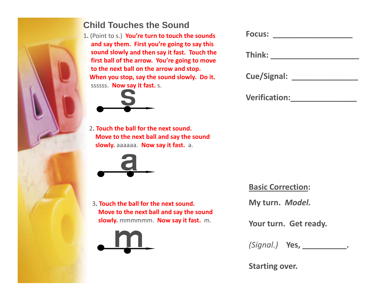

#### **Child Touches the Sound**

1**.** (Point to s.) **You're turn to touch the sounds and say them. First you're going to say this sound slowly and then say it fast. Touch the yy first ball of the arrow. You're going to move to the next ball on the arrow and stop. When you stop, say the sound slowly. Do it.** ssssss. **Now say it fast.** s.



2**. Touch the ball for the next sound. Move to the next ball and say the sound slowly.** aaaaaa. **Now say it fast.** a.



3**. Touch the ball for the next sound. Move to the next ball and say the sound slowly.** mmmmmm. **Now say it fast.** m.



| <b>Focus:</b>        |  |
|----------------------|--|
| Think:               |  |
| <b>Cue/Signal:</b>   |  |
| <b>Verification:</b> |  |

#### **Basic Correction:**

**My turn.** *Model.*

**turn. Get ready.**

*(Signal ) (Signal.)***Yes, \_\_\_\_\_\_\_\_\_\_.**

**Starting over.**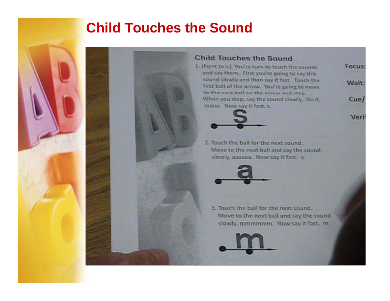# **Child Touches the Sound**



#### **Child Touches the Sound**

1. (Point to s.) You're turn to touch the sounds and say them. First you're going to say this sound slowly and then say it fast. Touch the first ball of the arrow. You're going to move to the next ball on the arrow and stop. When you stop, say the sound slowly. Do it. ssssss. Now say it fast, s.



Veri

 $Cue/$ 

2. Touch the ball for the next sound. Move to the next ball and say the sound slowly, aaaaaa. Now say it fast. a.



3. Touch the ball for the next sound. Move to the next ball and say the sound slowly, mmmmmm. Now say it fast. m.

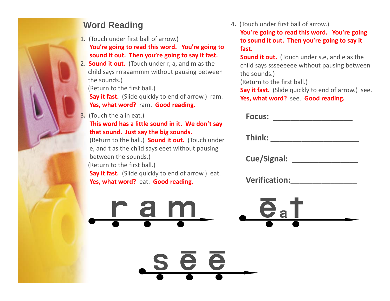

1**.** (Touch under first ball of arrow.)

**You're going to read this word. You're going to sound it out Then you're going to say it fast out. you refast. <sup>S</sup> d**

2. **Sound it out.** (Touch under r, a, and <sup>m</sup> as the child says rrraaammm without pausing between the sounds.)

(Return to the first ball.)

**Say it fast.** (Slide quickly to end of arrow.) ram. **Yes, what word?** ram. **Good reading.**

3**.** (Touch the <sup>a</sup> in eat.) **Focus:**

#### **This word has <sup>a</sup> little sound in it. We don't say that sound Just say the big sounds sound. sounds.**

(Return to the ball.) **Sound it out.** (Touch under e, and <sup>t</sup> as the child says eeet without pausing between the sounds.) (Return to the first ball.) **Say it fast.** (Slide quickly to end of arrow.) eat. **Yes, what word?** eat. **Good reading.**

**Word Reading** 4. (Touch under first ball of arrow.)

 **going to read this word. You're going to sound it out. Then you're going to say it fast.**

**Sound it out.** (Touch under s,e, and e as the child says ssseeeeee without pausing between the sounds.)

(Return to the first ball.)

**Say it fast.** (Slide quickly to end of arrow.) see. **Yes, what word?** see. **Good reading.**

| the a in eat.)                                                                                                          | <b>Focus:</b>                        |
|-------------------------------------------------------------------------------------------------------------------------|--------------------------------------|
| ord has a little sound in it. We don't say<br>und. Just say the big sounds.<br>to the ball.) Sound it out. (Touch under | Think:                               |
| as the child says eeet without pausing<br>n the sounds.)<br>to the first ball.)                                         | <b>Cue/Signal:</b>                   |
| ast. (Slide quickly to end of arrow.) eat.<br>at word? eat. Good reading.                                               | <b>Verification:</b>                 |
| r a m                                                                                                                   | $\mathbf{e}_\mathsf{a}$ $\mathsf{T}$ |

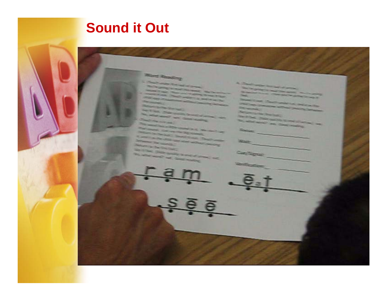

# **Sound it Out**

#### Mary Smoothy

#### **CONSTRUCTION RESIDENCE** <u> The Commercial Commercial Commercial Commercial Commercial Commercial Commercial Commercial Commercial Commercial Commercial Commercial Commercial Commercial Commercial Commercial Commercial Commercial Commercial Commerc</u>  $\frac{1}{2}$

**September 1977**  $\sim$ 

New House, & **Mary London** 

**SERVICE -CARD COMMAND** 

**Second Contractor** 

**Constitution** 

**STATISTICS** 

12221111 **CONTRACTOR** 

 $\frac{1}{2} \left( \frac{1}{2} \right) \left( \frac{1}{2} \right) \left( \frac{1}{2} \right) \left( \frac{1}{2} \right) \left( \frac{1}{2} \right) \left( \frac{1}{2} \right) \left( \frac{1}{2} \right) \left( \frac{1}{2} \right) \left( \frac{1}{2} \right) \left( \frac{1}{2} \right) \left( \frac{1}{2} \right) \left( \frac{1}{2} \right) \left( \frac{1}{2} \right) \left( \frac{1}{2} \right) \left( \frac{1}{2} \right) \left( \frac{1}{2} \right) \left( \frac$ **White** 

Contingnation

**Verification**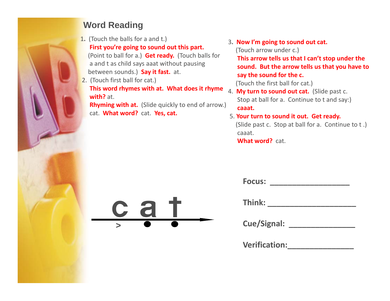

## **Word Reading**

1**.** (Touch the balls for <sup>a</sup> and t.)

**First you're going to sound out this part.**

(Touch arrow under c.)<br>(Point to ball for a.) **Get ready.** (Touch balls for **right arrow tells us that** a and <sup>t</sup> as child says aaat without pausing between sounds.) **Say it fast.** at.

2. (Touch first ball for cat.) **This word rhymes with at. What does it rhyme** 4. **My turn to sound out cat.** (Slide past c. **with?**with? at.

**Rhyming with at.** (Slide quickly to end of arrow.) cat. **What word?** cat. **Yes, cat.**

3**. Now I'm going to sound out cat.**

**This arrow tells us that I can't stop under the sound. But the arrow tells us that you have to say the sound for the c.**

(Touch the first ball for cat.)

**Focus:**

Stop at ball for a. Continue to <sup>t</sup> and say:) **caaat.**

#### 5. **Your turn to sound it out. Get ready.**

(Slide past c. Stop at ball for a. Continue to <sup>t</sup> .) caaat.**What word?** cat.

| <b>AND</b> |                | Think:             |
|------------|----------------|--------------------|
|            | $\blacksquare$ |                    |
|            |                | <b>Cue/Signal:</b> |

**\_\_\_\_\_\_\_\_\_\_\_\_\_\_\_\_\_\_**

| Think: |  |  |
|--------|--|--|
|        |  |  |

| <b>Verification:</b> |  |
|----------------------|--|
|                      |  |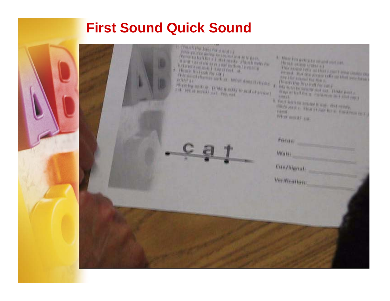# **First Sound Quick Sound**

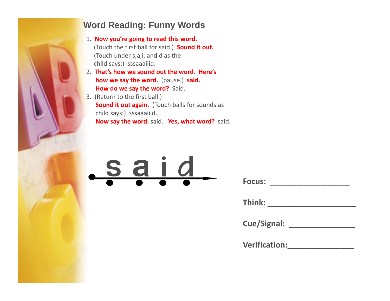

#### **Word Reading: Funny Words**

- 1**. Now you're going to read this word.** (Touch the first ball for said.) **Sound it out.** (Touch under s,a,i, and d as the child says:) sssaaaiiid.
- 2. **That's how we sound out the word. Here's how we say the word.** (pause.) **said. How do we say the word?** Said.
- 3. (Return to the first ball.) **Sound it out again.** (Touch balls for sounds as child says:) sssaaaiiid. **Now say the word.** said. **Yes, what word?** said.

# s a i d

| <b>Focus:</b> |  |
|---------------|--|
|               |  |

| Think: |  |  |  |
|--------|--|--|--|
|        |  |  |  |

| <b>Cue/Signal:</b> |  |
|--------------------|--|
|--------------------|--|

| <b>Verification:</b> |  |
|----------------------|--|
|                      |  |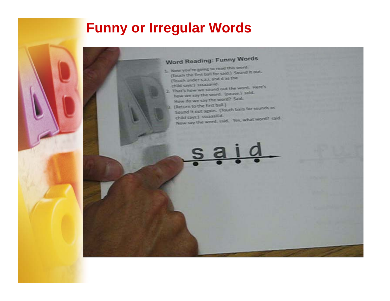# **Funny or Irregular Words**

## Word Reading: Funny Words

- 1. Now you're going to read this word. Now you're going to read this sound it out. (Touch under s.a.), and d as the child says:) sseaaniid.
- child says:) sstaaailid:<br>2. That's how we sound out the word. Here's how we say the word. (pause.) said. How do we say the word? Said.
- 3. (Return to the first ball.) (Return to the first ball.)<br>Sound it out again. (Touch balls for sounds as child says:) straaallid. child says:) straaaliid.<br>Now say the word, said. Yes, what word? said.

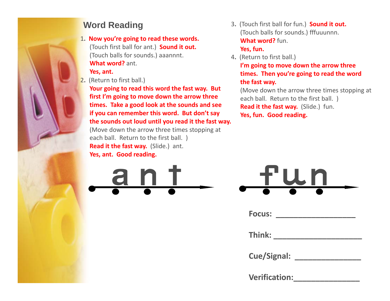

1**. Now you're going to read these words.** (Touch first ball for ant.) **Sound it out.** (Touch balls for sounds.) aaannnt. sounds.) aaannnt. 4. (Return to first ball.) **What word?** ant.

#### **Yes, ant.**

2**.** (Return to first ball.)

**Your going to read this word the fast way. But first I'm going to move down the arrow three times. Take <sup>a</sup> good look at the sounds and see if you can remember this word. But don't say the sounds out loud until you read it the fast way.**

(Move down the arrow three times stopping at each ball. Return to the first ball. ) **Read it the fast way.** (Slide.) ant. **Yes, ant. Good reading.**



**Word Reading** <sup>3</sup>**.** (Touch first ball for fun.) **Sound it out.** (Touch balls for sounds.) fffuuunnn. **What word?** fun.

#### **Yes, fun.**

**I'm going to move down the arrow three times. Then you're going to read the word the fast way.**

(Move down the arrow three times stopping at each ball. Return to the first ball. ) **Read it the fast way.** (Slide.) fun. **Yes, fun. Good reading.**

|           | fun                     |           |  |
|-----------|-------------------------|-----------|--|
| $\bullet$ | $\bullet$ and $\bullet$ | $\bullet$ |  |

| <b>Focus:</b> |  |  |
|---------------|--|--|
|               |  |  |

| Think: |  |  |
|--------|--|--|
|        |  |  |

| <b>Cue/Signal:</b> |  |
|--------------------|--|
|--------------------|--|

| <b>Verification:</b> |  |  |  |
|----------------------|--|--|--|
|                      |  |  |  |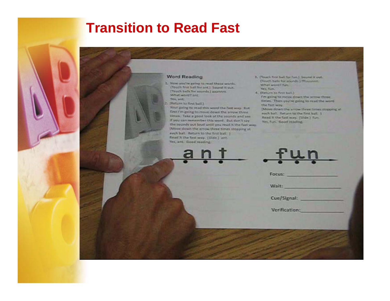# **Transition to Read Fast**



I. Now you're going to read these words. (Touch first trait for set). Sound it out. [Thuch balls for sounds.] approvit. What world? ant Yes, ant.

2. IReturn to first ball.)

Your going to read this word the fast way. Sot first I'm going to move down the arrow three times. Take a good look at the sounds and see If you can remember this word. But don't say the sounds out loud until you read it the fast way. (Move down the arrow three times stopping at each ball. Return to the first ball. 1-Read it the fast way. (Slide.) ant-Yes, ant. Good reading.

3. (Touch first tuil for fun.) Sound it out. (Touch balls for sounds.) Ifflauseme. What word? fier. **Yes, Yun.** 

4. Dietsrie to first ball.) I'm going ta move down the arrow three times. Then you're going to read the wordthe fart way. [Move down the arrow three times stopping at

each ball. Return to the first ball. 1 Read It the fast way. (Slide.) fun-Yes, fun. Good reading.

| Wait:<br>Cue/Signal: |
|----------------------|

Verification: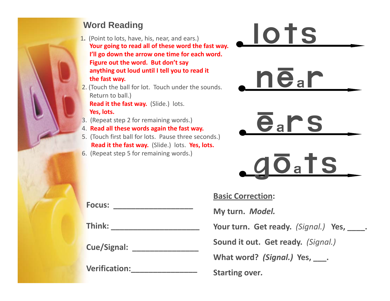#### **Word Reading**

- 1**.** (Point to lots, have, his, near, and ears.) Your going to read all of these word the fast way. **I ll ' go down the arrow one time for each word. Figure out the word. But don't say anything out loud until I tell you to read it the fast way.**
- 2. (Touch the ball for lot. Touch under the sounds. Return to ball.) **Read it the fast way.** (Slide.) lots. **Yes, lots.**
- 3. (Repeat step 2 for remaining words.)
- 4. **Read all these words again the fast wa**
- 5. (Touch first ball for lots. Pause three seconds.) **Read it the fast way.** (Slide.) lots. **Yes, lots.**
- 6. (Repeat step 5 for remaining words.)







# lOats

**Basic Correction:**

**My turn.** *Model.*

**Your turn. Get ready.** *(Signal.)* **Yes, \_\_\_\_.**

**C /Si l it out. Get ready.** *(Signal.)* **Cue/Signal: \_\_\_\_\_\_\_\_\_\_\_\_\_\_\_** Sound it out. Get ready. (Signal.)

**What word?** *(Signal.)* **Yes, \_\_\_.**

**Starting over***.*

**Focus: \_\_\_\_\_\_\_\_\_\_\_\_\_\_\_\_\_\_**

**Think: \_\_\_\_\_\_\_\_\_\_\_\_\_\_\_\_\_\_\_\_**

**Verification:\_\_\_\_\_\_\_\_\_\_\_\_\_\_\_**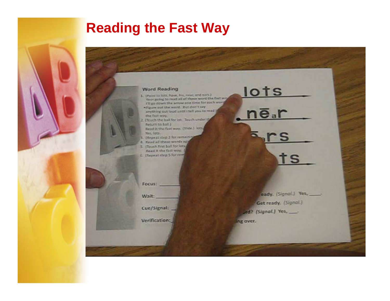# **Reading the Fast Way**

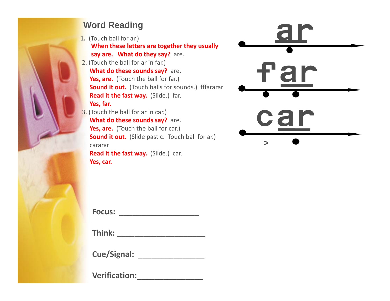#### **Word Reading**

- 1**.** (Touch ball for ar.) **When these letters are together they usually say are. What do they say?** are.
- 2. (Touch the ball for ar in far.) **What do these sounds say?** are. **Yes, are.** (Touch the ball for far.) **Sound it out.** (Touch balls for sounds.) fffararar **Read it the fast way.** (Slide.) far. **Yes, far.**
- 3. (Touch the ball for ar in car.) **What do these sounds say?** are. **View Allen Control Control of Control Control Control Control Control Control Control Control Control Control Control Control Control Control Control Control Control Control Control Control Control Control Control Control Sound it out.** (Slide past c. Touch ball for ar.) cararar**Read it the fast way.** (Slide.) car. **Yes, car.**



**Focus: \_\_\_\_\_\_\_\_\_\_\_\_\_\_\_\_\_\_**

**Think: \_\_\_\_\_\_\_\_\_\_\_\_\_\_\_\_\_\_\_\_**

**Cue/Signal: \_\_\_\_\_\_\_\_\_\_\_\_\_\_\_**

**Verification:\_\_\_\_\_\_\_\_\_\_\_\_\_\_\_**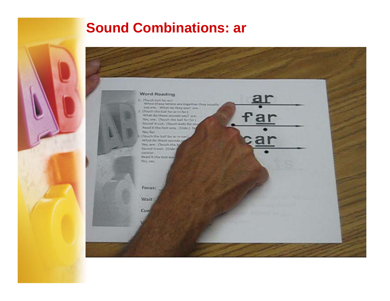# **Sound Combinations: ar**

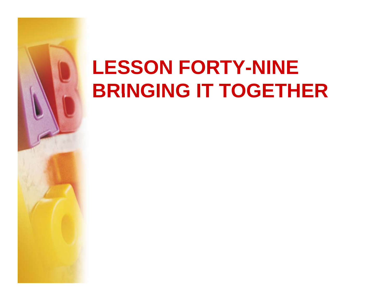# **LESSON FORTY-NINE BRINGING IT TOGETHER**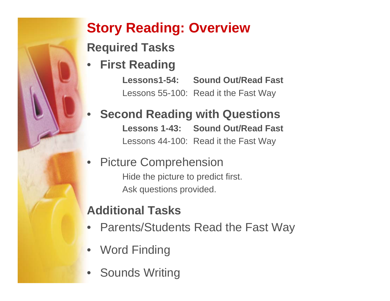# **Story Reading: Overview**

**Required Tasks**

•**First Reading**

•

**Lessons1-54: Sound Out/Read Fast**Lessons 55-100: Read it the Fast Way

# **Second Reading with Questions Lessons 1-43: Sound Out/Read Fast**

Lessons 44-100: Read it the Fast Way

• Picture Comprehension Hide the picture to predict first. Ask questions provided.

# **Additi l T k Additional Tas s**

- Parents/Students Read the Fast Way
- Word Finding
- •Sounds Writing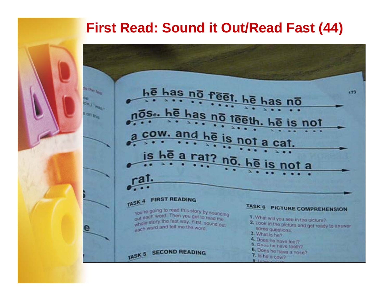# **First Read: Sound it Out/Read Fast (44)**

he has no reet. he has no **Fille** fans 173 de.j. was . <u>as no teer</u> So. he h on the is not cow. and he is not a cat. he a rat? no. he is is not a **a**l. **FIRST READING** TASK<sub>4</sub> TASK 6 PICTURE COMPREHENSION you're going to read this story by sounding out each word. Then you get to read the 1. What will you see in the picture? whole story the tast way. First, sound out 2. Look at the picture and get ready to answer whole and and tell me the word. some questions. 3. What is he? 4. Does he have feet? 5. Does he have teeth? TASK 5 SECOND READING 6. Does he have a nose? 7. Is he a cow?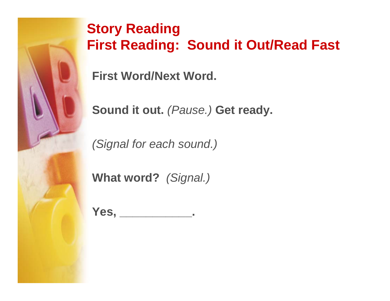

# **Story Reading First Reading: Sound it Out/Read Fast**

**First Word/Next Word.**

**Sound it out.** *(Pause.)* **Get ready.** 

*(Signal for each sound.)*

**What word?** *(Signal.)*

**Yes, \_\_\_\_\_\_\_\_\_\_\_.**